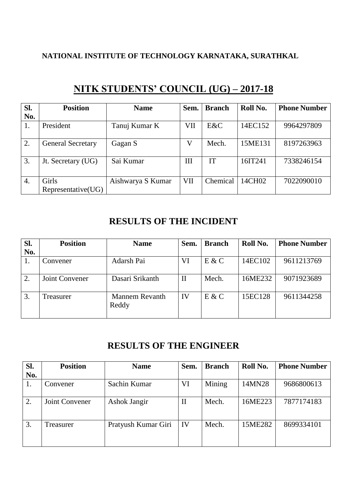### **NATIONAL INSTITUTE OF TECHNOLOGY KARNATAKA, SURATHKAL**

| Sl.<br>No. | <b>Position</b>             | <b>Name</b>       | Sem. | <b>Branch</b> | Roll No. | <b>Phone Number</b> |
|------------|-----------------------------|-------------------|------|---------------|----------|---------------------|
| 1.         | President                   | Tanuj Kumar K     | VII  | E&C           | 14EC152  | 9964297809          |
| 2.         | <b>General Secretary</b>    | Gagan S           | V    | Mech.         | 15ME131  | 8197263963          |
| 3.         | Jt. Secretary (UG)          | Sai Kumar         | III  | IT            | 16IT241  | 7338246154          |
| 4.         | Girls<br>Representative(UG) | Aishwarya S Kumar | VII  | Chemical      | 14CH02   | 7022090010          |

# **NITK STUDENTS' COUNCIL (UG) – 2017-18**

# **RESULTS OF THE INCIDENT**

| SI. | <b>Position</b> | <b>Name</b>                    | Sem.         | <b>Branch</b> | Roll No. | <b>Phone Number</b> |
|-----|-----------------|--------------------------------|--------------|---------------|----------|---------------------|
| No. |                 |                                |              |               |          |                     |
| 1.  | Convener        | Adarsh Pai                     | VI           | E & C         | 14EC102  | 9611213769          |
| 2.  | Joint Convener  | Dasari Srikanth                | $\mathbf{I}$ | Mech.         | 16ME232  | 9071923689          |
| 3.  | Treasurer       | <b>Mannem Revanth</b><br>Reddy | IV           | E & C         | 15EC128  | 9611344258          |

# **RESULTS OF THE ENGINEER**

| Sl.<br>No. | <b>Position</b> | <b>Name</b>         | Sem. | <b>Branch</b> | Roll No. | <b>Phone Number</b> |
|------------|-----------------|---------------------|------|---------------|----------|---------------------|
| 1.         | Convener        | Sachin Kumar        | VI   | Mining        | 14MN28   | 9686800613          |
| 2.         | Joint Convener  | Ashok Jangir        | П    | Mech.         | 16ME223  | 7877174183          |
| 3.         | Treasurer       | Pratyush Kumar Giri | IV   | Mech.         | 15ME282  | 8699334101          |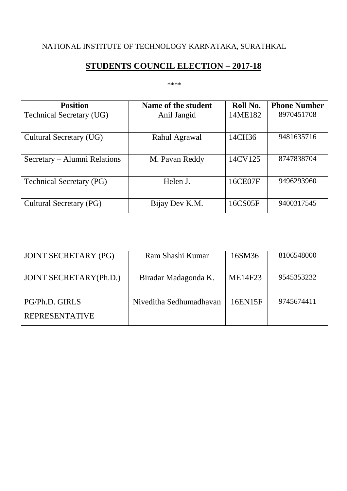# NATIONAL INSTITUTE OF TECHNOLOGY KARNATAKA, SURATHKAL

# **STUDENTS COUNCIL ELECTION – 2017-18**

#### \*\*\*\*

| <b>Position</b>                 | Name of the student | Roll No. | <b>Phone Number</b> |
|---------------------------------|---------------------|----------|---------------------|
| <b>Technical Secretary (UG)</b> | Anil Jangid         | 14ME182  | 8970451708          |
|                                 |                     |          |                     |
| Cultural Secretary (UG)         | Rahul Agrawal       | 14CH36   | 9481635716          |
|                                 |                     |          |                     |
| Secretary – Alumni Relations    | M. Pavan Reddy      | 14CV125  | 8747838704          |
|                                 |                     |          |                     |
| <b>Technical Secretary (PG)</b> | Helen J.            | 16CE07F  | 9496293960          |
|                                 |                     |          |                     |
| <b>Cultural Secretary (PG)</b>  | Bijay Dev K.M.      | 16CS05F  | 9400317545          |

| <b>JOINT SECRETARY (PG)</b>   | Ram Shashi Kumar        | 16SM36  | 8106548000 |
|-------------------------------|-------------------------|---------|------------|
|                               |                         |         |            |
| <b>JOINT SECRETARY(Ph.D.)</b> | Biradar Madagonda K.    | ME14F23 | 9545353232 |
|                               |                         |         |            |
| PG/Ph.D. GIRLS                | Niveditha Sedhumadhayan | 16EN15F | 9745674411 |
| <b>REPRESENTATIVE</b>         |                         |         |            |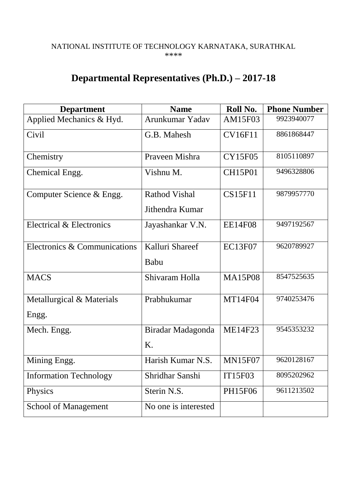#### NATIONAL INSTITUTE OF TECHNOLOGY KARNATAKA, SURATHKAL \*\*\*\*

# **Departmental Representatives (Ph.D.) – 2017-18**

| <b>Department</b>                  | <b>Name</b>                             | Roll No.       | <b>Phone Number</b> |
|------------------------------------|-----------------------------------------|----------------|---------------------|
| Applied Mechanics & Hyd.           | Arunkumar Yadav                         | AM15F03        | 9923940077          |
| Civil                              | G.B. Mahesh                             | <b>CV16F11</b> | 8861868447          |
| Chemistry                          | Praveen Mishra                          | <b>CY15F05</b> | 8105110897          |
| Chemical Engg.                     | Vishnu M.                               | <b>CH15P01</b> | 9496328806          |
| Computer Science & Engg.           | <b>Rathod Vishal</b><br>Jithendra Kumar | <b>CS15F11</b> | 9879957770          |
| Electrical & Electronics           | Jayashankar V.N.                        | <b>EE14F08</b> | 9497192567          |
| Electronics & Communications       | Kalluri Shareef<br>Babu                 | <b>EC13F07</b> | 9620789927          |
| <b>MACS</b>                        | Shivaram Holla                          | <b>MA15P08</b> | 8547525635          |
| Metallurgical & Materials<br>Engg. | Prabhukumar                             | <b>MT14F04</b> | 9740253476          |
| Mech. Engg.                        | Biradar Madagonda<br>K.                 | <b>ME14F23</b> | 9545353232          |
| Mining Engg.                       | Harish Kumar N.S.                       | <b>MN15F07</b> | 9620128167          |
| <b>Information Technology</b>      | Shridhar Sanshi                         | <b>IT15F03</b> | 8095202962          |
| Physics                            | Sterin N.S.                             | PH15F06        | 9611213502          |
| <b>School of Management</b>        | No one is interested                    |                |                     |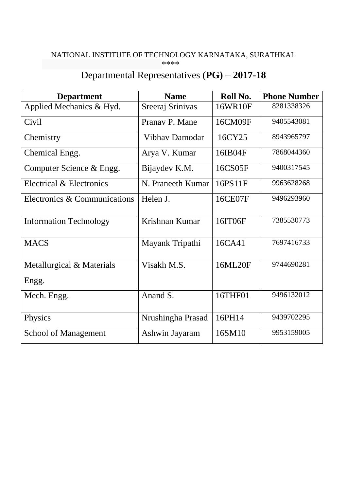#### NATIONAL INSTITUTE OF TECHNOLOGY KARNATAKA, SURATHKAL \*\*\*\*

# Departmental Representatives (**PG) – 2017-18**

| <b>Department</b>             | <b>Name</b>       | Roll No. | <b>Phone Number</b> |
|-------------------------------|-------------------|----------|---------------------|
| Applied Mechanics & Hyd.      | Sreeraj Srinivas  | 16WR10F  | 8281338326          |
| Civil                         | Pranav P. Mane    | 16CM09F  | 9405543081          |
| Chemistry                     | Vibhay Damodar    | 16CY25   | 8943965797          |
| Chemical Engg.                | Arya V. Kumar     | 16IB04F  | 7868044360          |
| Computer Science & Engg.      | Bijaydev K.M.     | 16CS05F  | 9400317545          |
| Electrical & Electronics      | N. Praneeth Kumar | 16PS11F  | 9963628268          |
| Electronics & Communications  | Helen J.          | 16CE07F  | 9496293960          |
| <b>Information Technology</b> | Krishnan Kumar    | 16IT06F  | 7385530773          |
| <b>MACS</b>                   | Mayank Tripathi   | 16CA41   | 7697416733          |
| Metallurgical & Materials     | Visakh M.S.       | 16ML20F  | 9744690281          |
| Engg.                         |                   |          |                     |
| Mech. Engg.                   | Anand S.          | 16THF01  | 9496132012          |
| Physics                       | Nrushingha Prasad | 16PH14   | 9439702295          |
| <b>School of Management</b>   | Ashwin Jayaram    | 16SM10   | 9953159005          |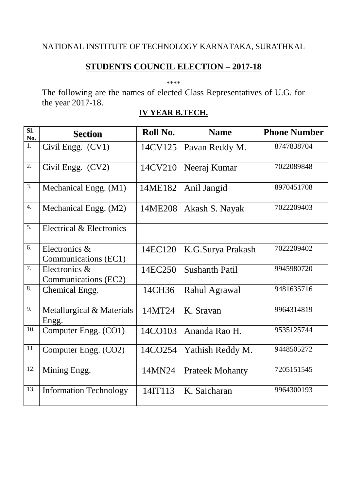## **STUDENTS COUNCIL ELECTION – 2017-18**

\*\*\*\*

The following are the names of elected Class Representatives of U.G. for the year 2017-18.

# **IV YEAR B.TECH.**

| $\overline{sl.}$<br>No. | <b>Section</b>                        | Roll No. | <b>Name</b>            | <b>Phone Number</b> |
|-------------------------|---------------------------------------|----------|------------------------|---------------------|
| $\overline{1}$ .        | Civil Engg. (CV1)                     | 14CV125  | Pavan Reddy M.         | 8747838704          |
| $\overline{2}$ .        | Civil Engg. (CV2)                     | 14CV210  | Neeraj Kumar           | 7022089848          |
| 3.                      | Mechanical Engg. (M1)                 | 14ME182  | Anil Jangid            | 8970451708          |
| 4.                      | Mechanical Engg. (M2)                 | 14ME208  | Akash S. Nayak         | 7022209403          |
| 5.                      | Electrical & Electronics              |          |                        |                     |
| 6.                      | Electronics &<br>Communications (EC1) | 14EC120  | K.G.Surya Prakash      | 7022209402          |
| 7.                      | Electronics &<br>Communications (EC2) | 14EC250  | <b>Sushanth Patil</b>  | 9945980720          |
| 8.                      | Chemical Engg.                        | 14CH36   | Rahul Agrawal          | 9481635716          |
| 9.                      | Metallurgical & Materials<br>Engg.    | 14MT24   | K. Sravan              | 9964314819          |
| 10.                     | Computer Engg. (CO1)                  | 14CO103  | Ananda Rao H.          | 9535125744          |
| 11.                     | Computer Engg. (CO2)                  | 14CO254  | Yathish Reddy M.       | 9448505272          |
| 12.                     | Mining Engg.                          | 14MN24   | <b>Prateek Mohanty</b> | 7205151545          |
| 13.                     | <b>Information Technology</b>         | 14IT113  | K. Saicharan           | 9964300193          |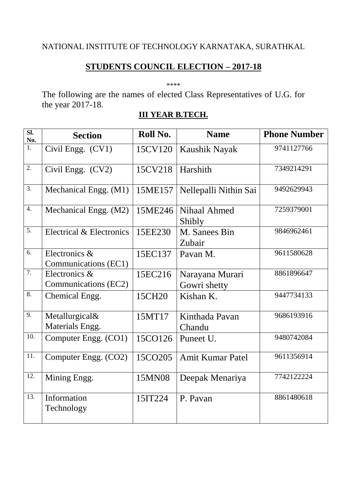## **STUDENTS COUNCIL ELECTION – 2017-18**

\*\*\*\*

The following are the names of elected Class Representatives of U.G. for the year 2017-18.

# **III YEAR B.TECH.**

| $\overline{\text{SL}}$<br>No. | <b>Section</b>                        | Roll No. | <b>Name</b>                     | <b>Phone Number</b> |
|-------------------------------|---------------------------------------|----------|---------------------------------|---------------------|
| $\overline{1}$ .              | Civil Engg. (CV1)                     | 15CV120  | Kaushik Nayak                   | 9741127766          |
| $\overline{2}$ .              | Civil Engg. (CV2)                     | 15CV218  | Harshith                        | 7349214291          |
| 3.                            | Mechanical Engg. (M1)                 | 15ME157  | Nellepalli Nithin Sai           | 9492629943          |
| 4.                            | Mechanical Engg. (M2)                 | 15ME246  | Nihaal Ahmed<br>Shibly          | 7259379001          |
| $\overline{5}$ .              | Electrical & Electronics              | 15EE230  | M. Sanees Bin<br>Zubair         | 9846962461          |
| 6.                            | Electronics &<br>Communications (EC1) | 15EC137  | Pavan M.                        | 9611580628          |
| $\overline{7}$ .              | Electronics &<br>Communications (EC2) | 15EC216  | Narayana Murari<br>Gowri shetty | 8861896647          |
| 8.                            | Chemical Engg.                        | 15CH20   | Kishan K.                       | 9447734133          |
| 9.                            | Metallurgical&<br>Materials Engg.     | 15MT17   | Kinthada Pavan<br>Chandu        | 9686193916          |
| 10.                           | Computer Engg. (CO1)                  | 15CO126  | Puneet U.                       | 9480742084          |
| 11.                           | Computer Engg. (CO2)                  | 15CO205  | <b>Amit Kumar Patel</b>         | 9611356914          |
| 12.                           | Mining Engg.                          | 15MN08   | Deepak Menariya                 | 7742122224          |
| 13.                           | Information<br>Technology             | 15IT224  | P. Pavan                        | 8861480618          |